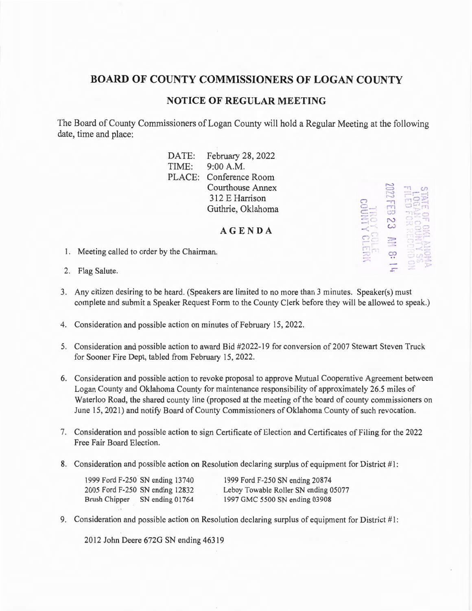## **BOARD OF COUNTY COMMISSIONERS OF LOGAN COUNTY**

## **NOTICE OF REGULAR MEETING**

The Board of County Commissioners of Logan County will hold a Regular Meeting at the following date, time and place:

> DATE: February 28, 2022<br>TIME: 9:00 A.M.  $9:00 A.M.$ PLACE: Conference Room Courthouse Annex 312 E Harrison Guthrie, Oklahoma

> > **AGENDA**

1. Meeting called to order by the Chairman.



- 2. Flag Salute.
- 3. Any citizen desiring to be heard. (Speakers are limited to no more than 3 minutes. Speaker(s) must complete and submit a Speaker Request Form to the County Clerk before they will be allowed to speak.)
- 4. Consideration and possible action on minutes of February 15, 2022.
- 5. Consideration and possible action to award Bid #2022-19 for conversion of 2007 Stewart Steven Truck for Sooner Fire Dept, tabled from February 15, 2022.
- 6. Consideration and possible action to revoke proposal to approve Mutual Cooperative Agreement between Logan County and Oklahoma County for maintenance responsibility of approximately 26.5 miles of Waterloo Road, the shared county line (proposed at the meeting of the board of county commissioners on June 15, 2021) and notify Board of County Commissioners of Oklahoma County of such revocation.
- 7. Consideration and possible action to sign Certificate of Election and Certificates of Filing for the 2022 Free Fair Board Election.
- 8. Consideration and possible action on Resolution declaring surplus of equipment for District #1:

|                      | 1999 Ford F-250 SN ending 13740 | 1999 Ford F-250 SN ending 20874      |
|----------------------|---------------------------------|--------------------------------------|
|                      | 2005 Ford F-250 SN ending 12832 | Leboy Towable Roller SN ending 05077 |
| <b>Brush Chipper</b> | SN ending 01764                 | 1997 GMC 5500 SN ending 03908        |

9. Consideration and possible action on Resolution declaring surplus of equipment for District  $#1$ :

2012 John Deere 672G SN ending 463 19